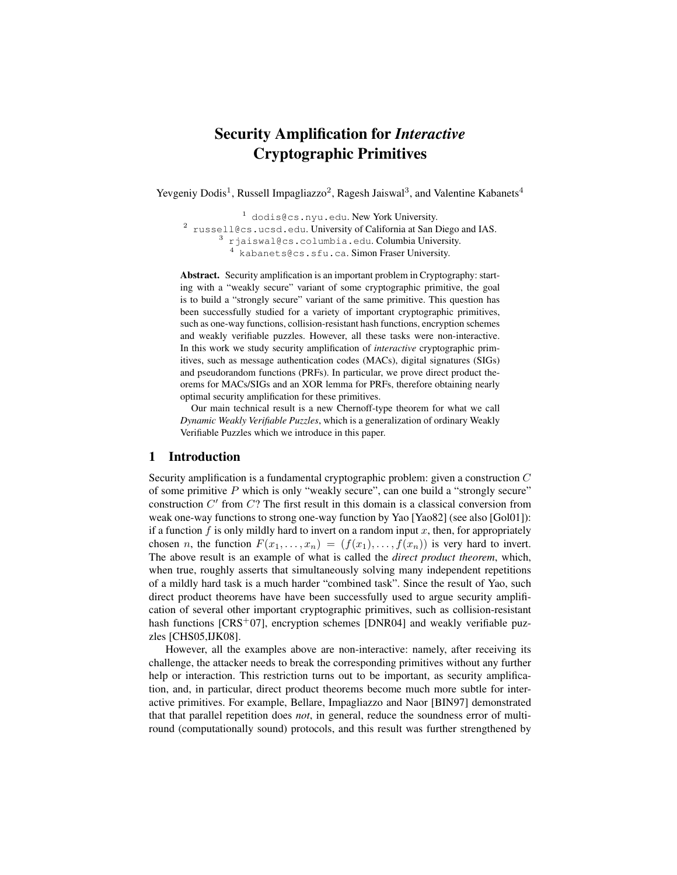# Security Amplification for *Interactive* Cryptographic Primitives

Yevgeniy Dodis<sup>1</sup>, Russell Impagliazzo<sup>2</sup>, Ragesh Jaiswal<sup>3</sup>, and Valentine Kabanets<sup>4</sup>

 dodis@cs.nyu.edu. New York University. russell@cs.ucsd.edu. University of California at San Diego and IAS. rjaiswal@cs.columbia.edu. Columbia University. <sub>-</sub><br>kabanets@cs.sfu.ca.**Simon Fraser University**.

Abstract. Security amplification is an important problem in Cryptography: starting with a "weakly secure" variant of some cryptographic primitive, the goal is to build a "strongly secure" variant of the same primitive. This question has been successfully studied for a variety of important cryptographic primitives, such as one-way functions, collision-resistant hash functions, encryption schemes and weakly verifiable puzzles. However, all these tasks were non-interactive. In this work we study security amplification of *interactive* cryptographic primitives, such as message authentication codes (MACs), digital signatures (SIGs) and pseudorandom functions (PRFs). In particular, we prove direct product theorems for MACs/SIGs and an XOR lemma for PRFs, therefore obtaining nearly optimal security amplification for these primitives.

Our main technical result is a new Chernoff-type theorem for what we call *Dynamic Weakly Verifiable Puzzles*, which is a generalization of ordinary Weakly Verifiable Puzzles which we introduce in this paper.

# 1 Introduction

Security amplification is a fundamental cryptographic problem: given a construction C of some primitive  $P$  which is only "weakly secure", can one build a "strongly secure" construction  $C'$  from  $C$ ? The first result in this domain is a classical conversion from weak one-way functions to strong one-way function by Yao [Yao82] (see also [Gol01]): if a function f is only mildly hard to invert on a random input x, then, for appropriately chosen n, the function  $F(x_1, \ldots, x_n) = (f(x_1), \ldots, f(x_n))$  is very hard to invert. The above result is an example of what is called the *direct product theorem*, which, when true, roughly asserts that simultaneously solving many independent repetitions of a mildly hard task is a much harder "combined task". Since the result of Yao, such direct product theorems have have been successfully used to argue security amplification of several other important cryptographic primitives, such as collision-resistant hash functions  $[CRS^+07]$ , encryption schemes  $[DNR04]$  and weakly verifiable puzzles [CHS05,IJK08].

However, all the examples above are non-interactive: namely, after receiving its challenge, the attacker needs to break the corresponding primitives without any further help or interaction. This restriction turns out to be important, as security amplification, and, in particular, direct product theorems become much more subtle for interactive primitives. For example, Bellare, Impagliazzo and Naor [BIN97] demonstrated that that parallel repetition does *not*, in general, reduce the soundness error of multiround (computationally sound) protocols, and this result was further strengthened by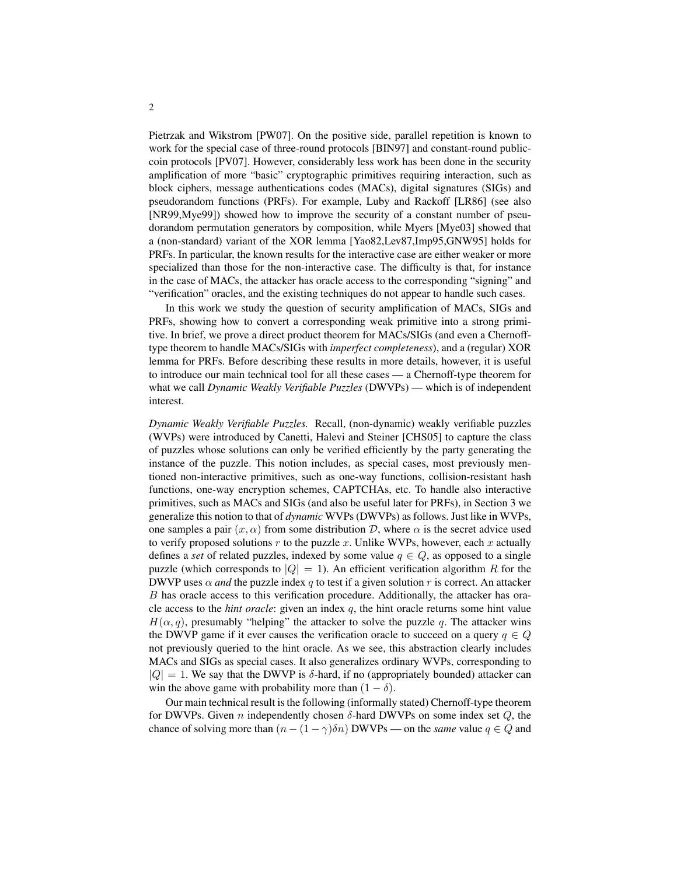Pietrzak and Wikstrom [PW07]. On the positive side, parallel repetition is known to work for the special case of three-round protocols [BIN97] and constant-round publiccoin protocols [PV07]. However, considerably less work has been done in the security amplification of more "basic" cryptographic primitives requiring interaction, such as block ciphers, message authentications codes (MACs), digital signatures (SIGs) and pseudorandom functions (PRFs). For example, Luby and Rackoff [LR86] (see also [NR99,Mye99]) showed how to improve the security of a constant number of pseudorandom permutation generators by composition, while Myers [Mye03] showed that a (non-standard) variant of the XOR lemma [Yao82,Lev87,Imp95,GNW95] holds for PRFs. In particular, the known results for the interactive case are either weaker or more specialized than those for the non-interactive case. The difficulty is that, for instance in the case of MACs, the attacker has oracle access to the corresponding "signing" and "verification" oracles, and the existing techniques do not appear to handle such cases.

In this work we study the question of security amplification of MACs, SIGs and PRFs, showing how to convert a corresponding weak primitive into a strong primitive. In brief, we prove a direct product theorem for MACs/SIGs (and even a Chernofftype theorem to handle MACs/SIGs with *imperfect completeness*), and a (regular) XOR lemma for PRFs. Before describing these results in more details, however, it is useful to introduce our main technical tool for all these cases — a Chernoff-type theorem for what we call *Dynamic Weakly Verifiable Puzzles* (DWVPs) — which is of independent interest.

*Dynamic Weakly Verifiable Puzzles.* Recall, (non-dynamic) weakly verifiable puzzles (WVPs) were introduced by Canetti, Halevi and Steiner [CHS05] to capture the class of puzzles whose solutions can only be verified efficiently by the party generating the instance of the puzzle. This notion includes, as special cases, most previously mentioned non-interactive primitives, such as one-way functions, collision-resistant hash functions, one-way encryption schemes, CAPTCHAs, etc. To handle also interactive primitives, such as MACs and SIGs (and also be useful later for PRFs), in Section 3 we generalize this notion to that of *dynamic* WVPs (DWVPs) as follows. Just like in WVPs, one samples a pair  $(x, \alpha)$  from some distribution D, where  $\alpha$  is the secret advice used to verify proposed solutions  $r$  to the puzzle  $x$ . Unlike WVPs, however, each  $x$  actually defines a *set* of related puzzles, indexed by some value  $q \in Q$ , as opposed to a single puzzle (which corresponds to  $|Q| = 1$ ). An efficient verification algorithm R for the DWVP uses  $\alpha$  *and* the puzzle index q to test if a given solution r is correct. An attacker B has oracle access to this verification procedure. Additionally, the attacker has oracle access to the *hint oracle*: given an index q, the hint oracle returns some hint value  $H(\alpha, q)$ , presumably "helping" the attacker to solve the puzzle q. The attacker wins the DWVP game if it ever causes the verification oracle to succeed on a query  $q \in Q$ not previously queried to the hint oracle. As we see, this abstraction clearly includes MACs and SIGs as special cases. It also generalizes ordinary WVPs, corresponding to  $|Q| = 1$ . We say that the DWVP is  $\delta$ -hard, if no (appropriately bounded) attacker can win the above game with probability more than  $(1 - \delta)$ .

Our main technical result is the following (informally stated) Chernoff-type theorem for DWVPs. Given n independently chosen  $\delta$ -hard DWVPs on some index set  $Q$ , the chance of solving more than  $(n - (1 - \gamma)\delta n)$  DWVPs — on the *same* value  $q \in Q$  and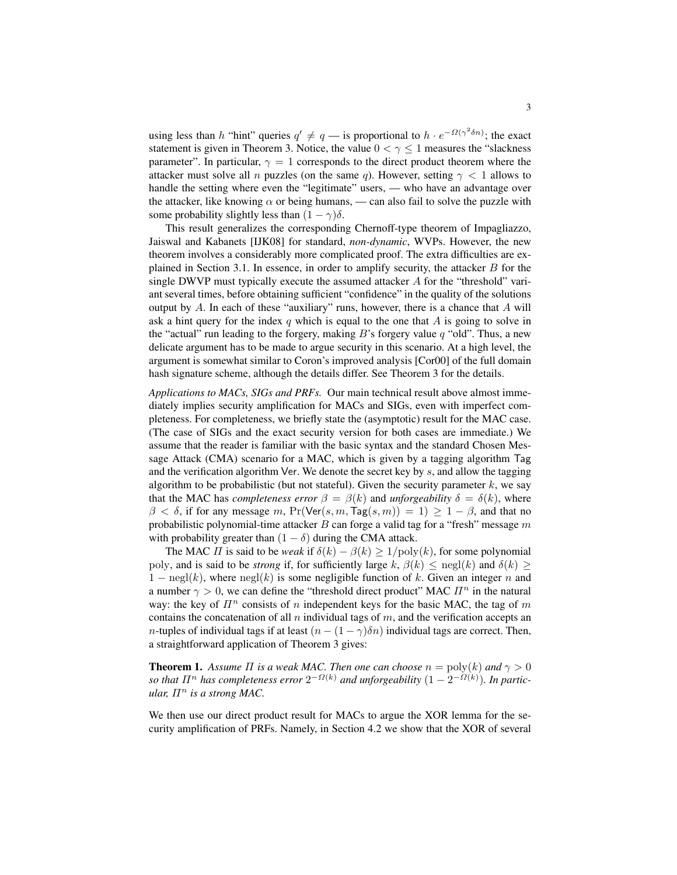using less than h "hint" queries  $q' \neq q$  — is proportional to  $h \cdot e^{-\Omega(\gamma^2 \delta n)}$ ; the exact statement is given in Theorem 3. Notice, the value  $0 < \gamma \leq 1$  measures the "slackness" parameter". In particular,  $\gamma = 1$  corresponds to the direct product theorem where the attacker must solve all n puzzles (on the same q). However, setting  $\gamma < 1$  allows to handle the setting where even the "legitimate" users, — who have an advantage over the attacker, like knowing  $\alpha$  or being humans, — can also fail to solve the puzzle with some probability slightly less than  $(1 - \gamma)\delta$ .

This result generalizes the corresponding Chernoff-type theorem of Impagliazzo, Jaiswal and Kabanets [IJK08] for standard, *non-dynamic*, WVPs. However, the new theorem involves a considerably more complicated proof. The extra difficulties are explained in Section 3.1. In essence, in order to amplify security, the attacker  $B$  for the single DWVP must typically execute the assumed attacker  $A$  for the "threshold" variant several times, before obtaining sufficient "confidence" in the quality of the solutions output by  $A$ . In each of these "auxiliary" runs, however, there is a chance that  $A$  will ask a hint query for the index  $q$  which is equal to the one that  $A$  is going to solve in the "actual" run leading to the forgery, making  $B$ 's forgery value  $q$  "old". Thus, a new delicate argument has to be made to argue security in this scenario. At a high level, the argument is somewhat similar to Coron's improved analysis [Cor00] of the full domain hash signature scheme, although the details differ. See Theorem 3 for the details.

*Applications to MACs, SIGs and PRFs.* Our main technical result above almost immediately implies security amplification for MACs and SIGs, even with imperfect completeness. For completeness, we briefly state the (asymptotic) result for the MAC case. (The case of SIGs and the exact security version for both cases are immediate.) We assume that the reader is familiar with the basic syntax and the standard Chosen Message Attack (CMA) scenario for a MAC, which is given by a tagging algorithm Tag and the verification algorithm Ver. We denote the secret key by  $s$ , and allow the tagging algorithm to be probabilistic (but not stateful). Given the security parameter  $k$ , we say that the MAC has *completeness error*  $\beta = \beta(k)$  and *unforgeability*  $\delta = \delta(k)$ , where  $\beta < \delta$ , if for any message m, Pr(Ver(s, m, Tag(s, m)) = 1)  $\geq 1 - \beta$ , and that no probabilistic polynomial-time attacker B can forge a valid tag for a "fresh" message m with probability greater than  $(1 - \delta)$  during the CMA attack.

The MAC  $\Pi$  is said to be *weak* if  $\delta(k) - \beta(k) \geq 1/\text{poly}(k)$ , for some polynomial poly, and is said to be *strong* if, for sufficiently large k,  $\beta(k) \leq \text{negl}(k)$  and  $\delta(k) \geq$  $1 - \text{negl}(k)$ , where  $\text{negl}(k)$  is some negligible function of k. Given an integer n and a number  $\gamma > 0$ , we can define the "threshold direct product" MAC  $\Pi^n$  in the natural way: the key of  $\Pi^n$  consists of n independent keys for the basic MAC, the tag of m contains the concatenation of all  $n$  individual tags of  $m$ , and the verification accepts an *n*-tuples of individual tags if at least  $(n - (1 - \gamma)\delta n)$  individual tags are correct. Then, a straightforward application of Theorem 3 gives:

**Theorem 1.** Assume  $\Pi$  is a weak MAC. Then one can choose  $n = \text{poly}(k)$  and  $\gamma > 0$ so that  $\Pi^n$  has completeness error  $2^{-\Omega(k)}$  and unforgeability  $(1-2^{-\Omega(k)})$ . In partic*ular,*  $\Pi^n$  *is a strong MAC.* 

We then use our direct product result for MACs to argue the XOR lemma for the security amplification of PRFs. Namely, in Section 4.2 we show that the XOR of several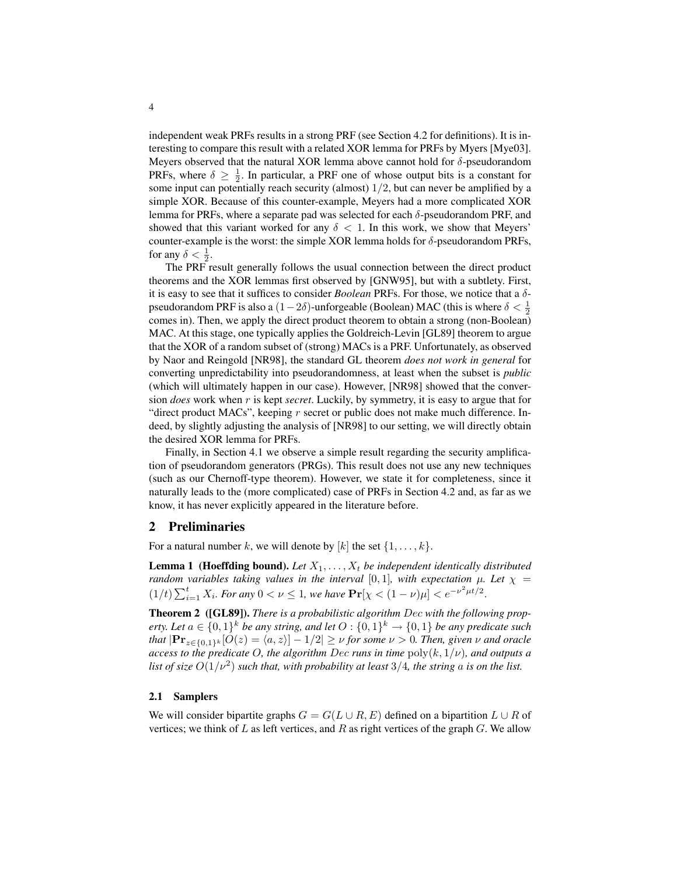independent weak PRFs results in a strong PRF (see Section 4.2 for definitions). It is interesting to compare this result with a related XOR lemma for PRFs by Myers [Mye03]. Meyers observed that the natural XOR lemma above cannot hold for  $\delta$ -pseudorandom PRFs, where  $\delta \geq \frac{1}{2}$ . In particular, a PRF one of whose output bits is a constant for some input can potentially reach security (almost)  $1/2$ , but can never be amplified by a simple XOR. Because of this counter-example, Meyers had a more complicated XOR lemma for PRFs, where a separate pad was selected for each  $\delta$ -pseudorandom PRF, and showed that this variant worked for any  $\delta$  < 1. In this work, we show that Meyers' counter-example is the worst: the simple XOR lemma holds for  $\delta$ -pseudorandom PRFs, for any  $\delta < \frac{1}{2}$ .

The PRF result generally follows the usual connection between the direct product theorems and the XOR lemmas first observed by [GNW95], but with a subtlety. First, it is easy to see that it suffices to consider *Boolean* PRFs. For those, we notice that a δpseudorandom PRF is also a  $(1-2\delta)$ -unforgeable (Boolean) MAC (this is where  $\delta < \frac{1}{2}$ comes in). Then, we apply the direct product theorem to obtain a strong (non-Boolean) MAC. At this stage, one typically applies the Goldreich-Levin [GL89] theorem to argue that the XOR of a random subset of (strong) MACs is a PRF. Unfortunately, as observed by Naor and Reingold [NR98], the standard GL theorem *does not work in general* for converting unpredictability into pseudorandomness, at least when the subset is *public* (which will ultimately happen in our case). However, [NR98] showed that the conversion *does* work when r is kept *secret*. Luckily, by symmetry, it is easy to argue that for "direct product MACs", keeping  $r$  secret or public does not make much difference. Indeed, by slightly adjusting the analysis of [NR98] to our setting, we will directly obtain the desired XOR lemma for PRFs.

Finally, in Section 4.1 we observe a simple result regarding the security amplification of pseudorandom generators (PRGs). This result does not use any new techniques (such as our Chernoff-type theorem). However, we state it for completeness, since it naturally leads to the (more complicated) case of PRFs in Section 4.2 and, as far as we know, it has never explicitly appeared in the literature before.

## 2 Preliminaries

For a natural number k, we will denote by [k] the set  $\{1, \ldots, k\}$ .

**Lemma 1 (Hoeffding bound).** Let  $X_1, \ldots, X_t$  be independent identically distributed *random variables taking values in the interval* [0,1]*, with expectation*  $\mu$ *. Let*  $\chi$  =  $(1/t) \sum_{i=1}^{t} X_i$ *. For any*  $0 < \nu \leq 1$ *, we have*  $\Pr[\chi < (1 - \nu)\mu] < e^{-\nu^2 \mu t/2}$ *.* 

Theorem 2 ([GL89]). *There is a probabilistic algorithm* Dec *with the following property. Let*  $a \in \{0,1\}^k$  *be any string, and let*  $O: \{0,1\}^k \rightarrow \{0,1\}$  *be any predicate such that*  $|\mathbf{Pr}_{z \in \{0,1\}^k}[O(z) = \langle a, z \rangle] - 1/2| \geq \nu$  for some  $\nu > 0$ . Then, given  $\nu$  and oracle *access to the predicate O, the algorithm Dec runs in time*  $poly(k, 1/\nu)$ *, and outputs a list of size*  $O(1/\nu^2)$  *such that, with probability at least*  $3/4$ *, the string a is on the list.* 

#### 2.1 Samplers

We will consider bipartite graphs  $G = G(L \cup R, E)$  defined on a bipartition  $L \cup R$  of vertices; we think of  $L$  as left vertices, and  $R$  as right vertices of the graph  $G$ . We allow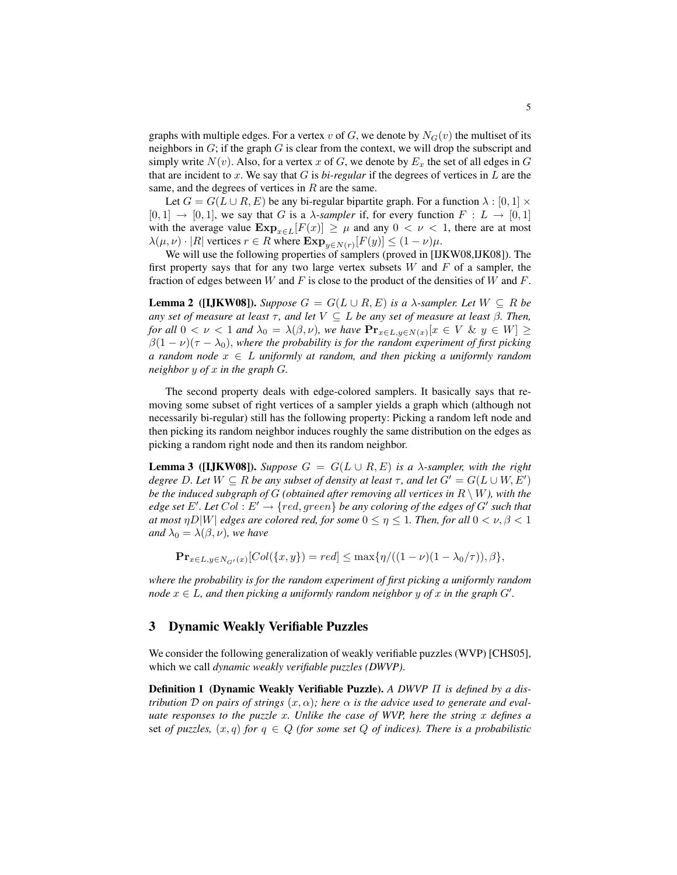graphs with multiple edges. For a vertex v of G, we denote by  $N_G(v)$  the multiset of its neighbors in  $G$ ; if the graph  $G$  is clear from the context, we will drop the subscript and simply write  $N(v)$ . Also, for a vertex x of G, we denote by  $E_x$  the set of all edges in G that are incident to  $x$ . We say that  $G$  is  $bi-regular$  if the degrees of vertices in  $L$  are the same, and the degrees of vertices in  $R$  are the same.

Let  $G = G(L \cup R, E)$  be any bi-regular bipartite graph. For a function  $\lambda : [0, 1] \times$  $[0, 1] \rightarrow [0, 1]$ , we say that G is a  $\lambda$ -sampler if, for every function  $F: L \rightarrow [0, 1]$ with the average value  $\text{Exp}_{x \in L}[F(x)] \geq \mu$  and any  $0 < \nu < 1$ , there are at most  $\lambda(\mu, \nu) \cdot |R|$  vertices  $r \in R$  where  $\mathbf{Exp}_{y \in N(r)}[F(y)] \leq (1 - \nu)\mu$ .

We will use the following properties of samplers (proved in [IJKW08,IJK08]). The first property says that for any two large vertex subsets  $W$  and  $F$  of a sampler, the fraction of edges between W and F is close to the product of the densities of W and F.

**Lemma 2** ([**IJKW08**]). *Suppose*  $G = G(L \cup R, E)$  *is a*  $\lambda$ -sampler. Let  $W \subseteq R$  be *any set of measure at least*  $\tau$ *, and let*  $V \subseteq L$  *be any set of measure at least*  $\beta$ *. Then, for all*  $0 < \nu < 1$  *and*  $\lambda_0 = \lambda(\beta, \nu)$ *, we have*  $\mathbf{Pr}_{x \in L, y \in N(x)}[x \in V \& y \in W] \ge$  $\beta(1-\nu)(\tau-\lambda_0)$ , where the probability is for the random experiment of first picking *a random node* x ∈ L *uniformly at random, and then picking a uniformly random neighbor* y *of* x *in the graph* G*.*

The second property deals with edge-colored samplers. It basically says that removing some subset of right vertices of a sampler yields a graph which (although not necessarily bi-regular) still has the following property: Picking a random left node and then picking its random neighbor induces roughly the same distribution on the edges as picking a random right node and then its random neighbor.

**Lemma 3 ([IJKW08]).** *Suppose*  $G = G(L \cup R, E)$  *is a*  $\lambda$ *-sampler, with the right degree* D. Let  $W \subseteq R$  *be any subset of density at least*  $\tau$ *, and let*  $G' = G(L \cup W, E')$ *be the induced subgraph of* G *(obtained after removing all vertices in* R \ W*), with the edge set* E'. Let  $Col : E' \to \{red, green\}$  *be any coloring of the edges of* G' such that *at most*  $\eta D|W|$  *edges are colored red, for some*  $0 \leq \eta \leq 1$ *. Then, for all*  $0 < \nu, \beta < 1$ *and*  $\lambda_0 = \lambda(\beta, \nu)$ *, we have* 

 $\mathbf{Pr}_{x \in L, y \in N_{G'}(x)}[Col(\{x, y\}) = red] \le \max{\{\eta/((1 - \nu)(1 - \lambda_0/\tau)), \beta\}},$ 

*where the probability is for the random experiment of first picking a uniformly random node*  $x \in L$ , and then picking a uniformly random neighbor y of x in the graph  $G'$ .

# 3 Dynamic Weakly Verifiable Puzzles

We consider the following generalization of weakly verifiable puzzles (WVP) [CHS05], which we call *dynamic weakly verifiable puzzles (DWVP)*.

Definition 1 (Dynamic Weakly Verifiable Puzzle). *A DWVP* Π *is defined by a distribution* D *on pairs of strings*  $(x, \alpha)$ ; here  $\alpha$  *is the advice used to generate and evaluate responses to the puzzle* x*. Unlike the case of WVP, here the string* x *defines a* set *of puzzles,*  $(x, q)$  *for*  $q \in Q$  *(for some set*  $Q$  *of indices). There is a probabilistic*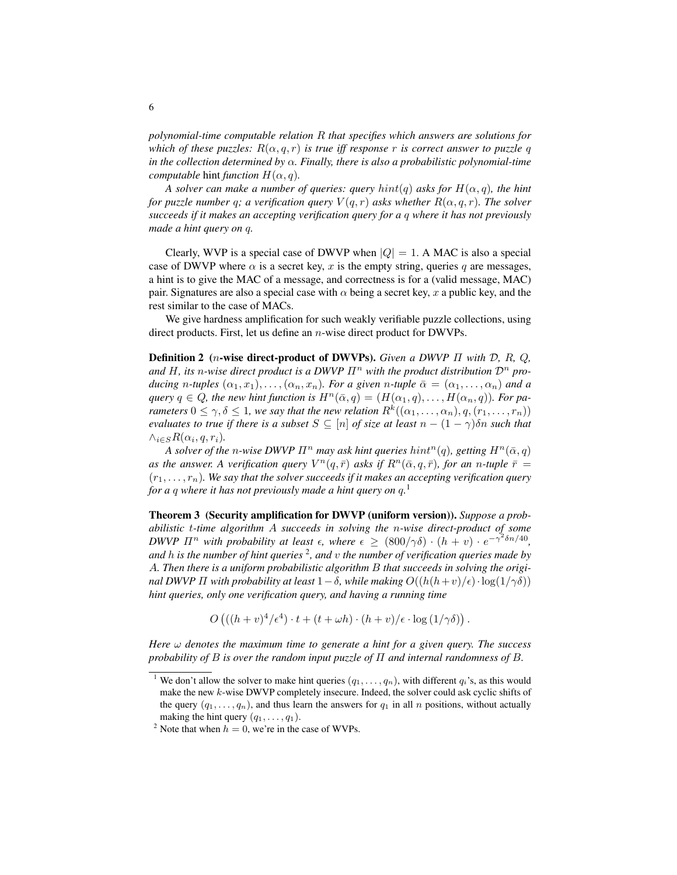*polynomial-time computable relation* R *that specifies which answers are solutions for which of these puzzles:*  $R(\alpha, q, r)$  *is true iff response* r *is correct answer to puzzle q in the collection determined by* α*. Finally, there is also a probabilistic polynomial-time computable* hint *function*  $H(\alpha, q)$ *.* 

*A solver can make a number of queries: query*  $hint(q)$  *asks for*  $H(\alpha, q)$ *, the hint for puzzle number q; a verification query*  $V(q, r)$  *asks whether*  $R(\alpha, q, r)$ *. The solver succeeds if it makes an accepting verification query for a* q *where it has not previously made a hint query on* q*.*

Clearly, WVP is a special case of DWVP when  $|Q| = 1$ . A MAC is also a special case of DWVP where  $\alpha$  is a secret key, x is the empty string, queries q are messages, a hint is to give the MAC of a message, and correctness is for a (valid message, MAC) pair. Signatures are also a special case with  $\alpha$  being a secret key, x a public key, and the rest similar to the case of MACs.

We give hardness amplification for such weakly verifiable puzzle collections, using direct products. First, let us define an n-wise direct product for DWVPs.

Definition 2 (n-wise direct-product of DWVPs). *Given a DWVP* Π *with* D*,* R*,* Q*,* and H, its n-wise direct product is a DWVP  $\Pi^n$  with the product distribution  $\mathcal{D}^n$  pro*ducing* n-tuples  $(\alpha_1, x_1), \ldots, (\alpha_n, x_n)$ *. For a given n-tuple*  $\bar{\alpha} = (\alpha_1, \ldots, \alpha_n)$  *and a query*  $q \in Q$ *, the new hint function is*  $H^n(\bar{\alpha}, q) = (H(\alpha_1, q), \dots, H(\alpha_n, q))$ *. For parameters*  $0 \leq \gamma, \delta \leq 1$ , we say that the new relation  $R^k((\alpha_1, \ldots, \alpha_n), q, (r_1, \ldots, r_n))$ *evaluates to true if there is a subset*  $S \subseteq [n]$  *of size at least*  $n - (1 - \gamma)\delta n$  *such that*  $\wedge_{i \in S} R(\alpha_i, q, r_i)$ .

*A solver of the n-wise DWVP*  $\Pi^n$  *may ask hint queries hint*<sup>n</sup>(q)*, getting*  $H^n(\bar{\alpha}, q)$ *as the answer.* A verification query  $V^n(q, \bar{r})$  asks if  $R^n(\bar{\alpha}, q, \bar{r})$ , for an n-tuple  $\bar{r} =$  $(r_1, \ldots, r_n)$ *. We say that the solver succeeds if it makes an accepting verification query for a* q *where it has not previously made a hint query on* q*.* 1

Theorem 3 (Security amplification for DWVP (uniform version)). *Suppose a probabilistic* t*-time algorithm* A *succeeds in solving the* n*-wise direct-product of some DWVP*  $\Pi^n$  *with probability at least*  $\epsilon$ , *where*  $\epsilon \geq (800/\gamma \delta) \cdot (h + v) \cdot e^{-\gamma^2 \delta n/40}$ , and  $h$  is the number of hint queries <sup>2</sup>, and  $v$  the number of verification queries made by A*. Then there is a uniform probabilistic algorithm* B *that succeeds in solving the original DWVP*  $\Pi$  *with probability at least*  $1-\delta$ *, while making*  $O((h(h+v)/\epsilon) \cdot \log(1/\gamma\delta))$ *hint queries, only one verification query, and having a running time*

 $O\left(((h+v)^4/\epsilon^4)\cdot t + (t+\omega h)\cdot (h+v)/\epsilon \cdot \log(1/\gamma\delta)\right).$ 

*Here* ω *denotes the maximum time to generate a hint for a given query. The success probability of* B *is over the random input puzzle of* Π *and internal randomness of* B*.*

<sup>&</sup>lt;sup>1</sup> We don't allow the solver to make hint queries  $(q_1, \ldots, q_n)$ , with different  $q_i$ 's, as this would make the new k-wise DWVP completely insecure. Indeed, the solver could ask cyclic shifts of the query  $(q_1, \ldots, q_n)$ , and thus learn the answers for  $q_1$  in all n positions, without actually making the hint query  $(q_1, \ldots, q_1)$ .

<sup>&</sup>lt;sup>2</sup> Note that when  $h = 0$ , we're in the case of WVPs.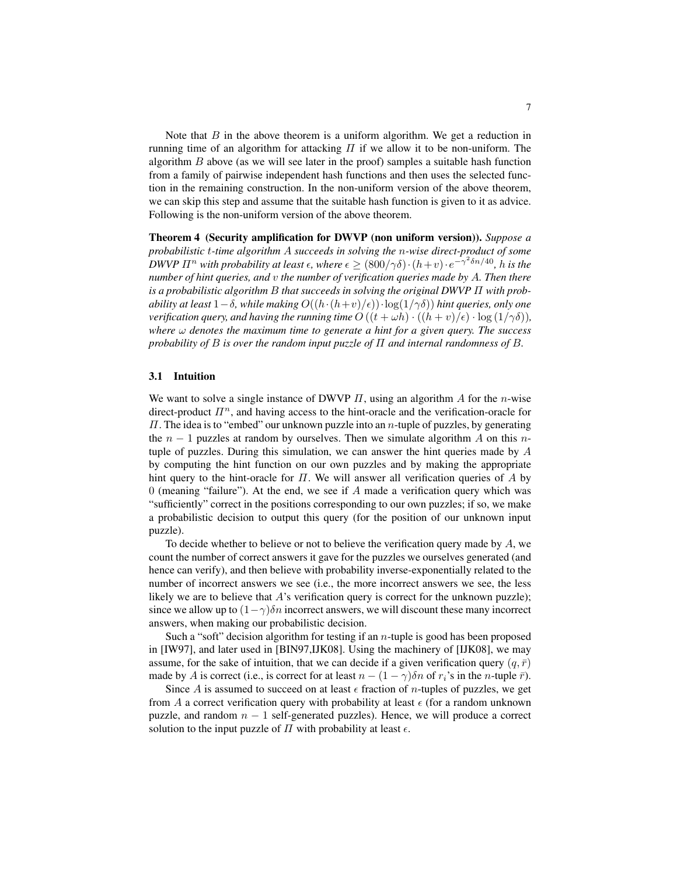Note that  $B$  in the above theorem is a uniform algorithm. We get a reduction in running time of an algorithm for attacking  $\Pi$  if we allow it to be non-uniform. The algorithm  $B$  above (as we will see later in the proof) samples a suitable hash function from a family of pairwise independent hash functions and then uses the selected function in the remaining construction. In the non-uniform version of the above theorem, we can skip this step and assume that the suitable hash function is given to it as advice. Following is the non-uniform version of the above theorem.

Theorem 4 (Security amplification for DWVP (non uniform version)). *Suppose a probabilistic* t*-time algorithm* A *succeeds in solving the* n*-wise direct-product of some*  $DWVP$   $\Pi^n$  with probability at least  $\epsilon$ , where  $\epsilon \ge (800/\gamma\delta) \cdot (h+v) \cdot e^{-\gamma^2\delta n/40}$ ,  $h$  is the *number of hint queries, and* v *the number of verification queries made by* A*. Then there is a probabilistic algorithm* B *that succeeds in solving the original DWVP* Π *with probability at least*  $1-\delta$ *, while making*  $O((h \cdot (h+v)/\epsilon)) \cdot \log(1/\gamma\delta)$ *) hint queries, only one verification query, and having the running time*  $O((t + \omega h) \cdot ((h + v)/\epsilon) \cdot \log(1/\gamma \delta))$ , *where* ω *denotes the maximum time to generate a hint for a given query. The success probability of* B *is over the random input puzzle of* Π *and internal randomness of* B*.*

### 3.1 Intuition

We want to solve a single instance of DWVP  $\Pi$ , using an algorithm A for the n-wise direct-product  $\mathbb{I}^n$ , and having access to the hint-oracle and the verification-oracle for  $\Pi$ . The idea is to "embed" our unknown puzzle into an *n*-tuple of puzzles, by generating the  $n - 1$  puzzles at random by ourselves. Then we simulate algorithm A on this ntuple of puzzles. During this simulation, we can answer the hint queries made by  $\tilde{A}$ by computing the hint function on our own puzzles and by making the appropriate hint query to the hint-oracle for  $\Pi$ . We will answer all verification queries of A by  $0$  (meaning "failure"). At the end, we see if  $A$  made a verification query which was "sufficiently" correct in the positions corresponding to our own puzzles; if so, we make a probabilistic decision to output this query (for the position of our unknown input puzzle).

To decide whether to believe or not to believe the verification query made by  $A$ , we count the number of correct answers it gave for the puzzles we ourselves generated (and hence can verify), and then believe with probability inverse-exponentially related to the number of incorrect answers we see (i.e., the more incorrect answers we see, the less likely we are to believe that A's verification query is correct for the unknown puzzle); since we allow up to  $(1-\gamma)\delta n$  incorrect answers, we will discount these many incorrect answers, when making our probabilistic decision.

Such a "soft" decision algorithm for testing if an  $n$ -tuple is good has been proposed in [IW97], and later used in [BIN97,IJK08]. Using the machinery of [IJK08], we may assume, for the sake of intuition, that we can decide if a given verification query  $(q, \bar{r})$ made by A is correct (i.e., is correct for at least  $n - (1 - \gamma)\delta n$  of  $r_i$ 's in the n-tuple  $\bar{r}$ ).

Since A is assumed to succeed on at least  $\epsilon$  fraction of *n*-tuples of puzzles, we get from A a correct verification query with probability at least  $\epsilon$  (for a random unknown puzzle, and random  $n - 1$  self-generated puzzles). Hence, we will produce a correct solution to the input puzzle of  $\Pi$  with probability at least  $\epsilon$ .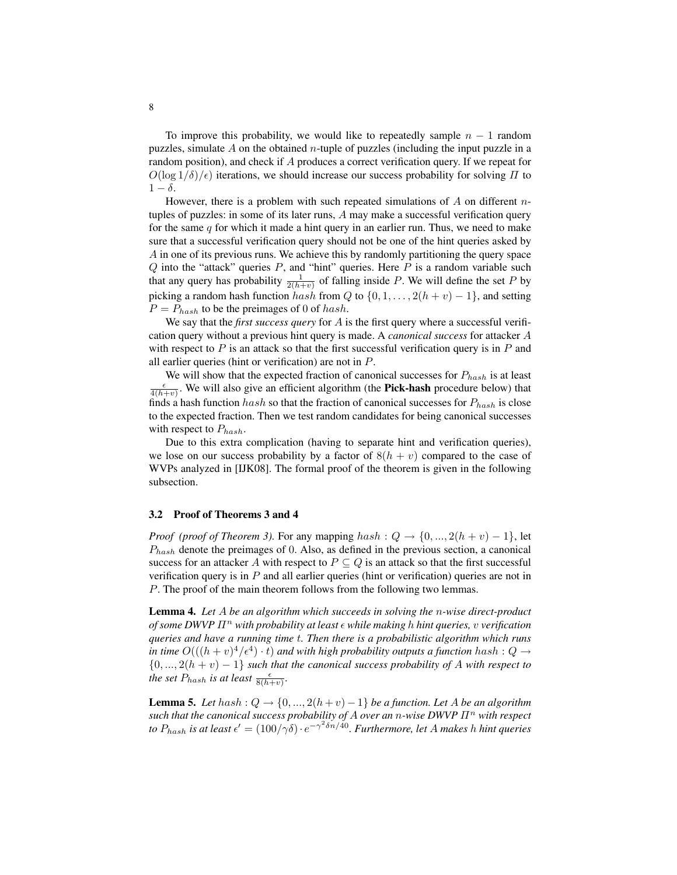To improve this probability, we would like to repeatedly sample  $n - 1$  random puzzles, simulate A on the obtained  $n$ -tuple of puzzles (including the input puzzle in a random position), and check if A produces a correct verification query. If we repeat for  $O(\log 1/\delta)/\epsilon$ ) iterations, we should increase our success probability for solving  $\Pi$  to  $1 - \delta$ .

However, there is a problem with such repeated simulations of  $A$  on different ntuples of puzzles: in some of its later runs, A may make a successful verification query for the same  $q$  for which it made a hint query in an earlier run. Thus, we need to make sure that a successful verification query should not be one of the hint queries asked by A in one of its previous runs. We achieve this by randomly partitioning the query space  $Q$  into the "attack" queries  $P$ , and "hint" queries. Here  $P$  is a random variable such that any query has probability  $\frac{1}{2(h+v)}$  of falling inside P. We will define the set P by picking a random hash function hash from Q to  $\{0, 1, \ldots, 2(h + v) - 1\}$ , and setting  $P = P_{hash}$  to be the preimages of 0 of hash.

We say that the *first success query* for A is the first query where a successful verification query without a previous hint query is made. A *canonical success* for attacker A with respect to P is an attack so that the first successful verification query is in P and all earlier queries (hint or verification) are not in P.

We will show that the expected fraction of canonical successes for  $P_{hash}$  is at least  $\frac{\epsilon}{4(h+v)}$ . We will also give an efficient algorithm (the **Pick-hash** procedure below) that finds a hash function hash so that the fraction of canonical successes for  $P_{hash}$  is close to the expected fraction. Then we test random candidates for being canonical successes with respect to  $P_{hash}$ .

Due to this extra complication (having to separate hint and verification queries), we lose on our success probability by a factor of  $8(h + v)$  compared to the case of WVPs analyzed in [IJK08]. The formal proof of the theorem is given in the following subsection.

#### 3.2 Proof of Theorems 3 and 4

*Proof (proof of Theorem 3).* For any mapping  $hash: Q \rightarrow \{0, ..., 2(h+v) - 1\}$ , let  $P_{hash}$  denote the preimages of 0. Also, as defined in the previous section, a canonical success for an attacker A with respect to  $P \subseteq Q$  is an attack so that the first successful verification query is in  $P$  and all earlier queries (hint or verification) queries are not in P. The proof of the main theorem follows from the following two lemmas.

Lemma 4. *Let* A *be an algorithm which succeeds in solving the* n*-wise direct-product of some DWVP*  $\Pi^n$  *with probability at least*  $\epsilon$  *while making h hint queries, v verification queries and have a running time* t*. Then there is a probabilistic algorithm which runs* in time  $O(((h+v)^4/\epsilon^4)\cdot t)$  and with high probability outputs a function hash :  $Q \rightarrow$ {0, ..., 2(h + v) − 1} *such that the canonical success probability of* A *with respect to the set*  $P_{hash}$  *is at least*  $\frac{\epsilon}{8(h+v)}$ *.* 

**Lemma 5.** *Let* hash :  $Q \rightarrow \{0, ..., 2(h+v) - 1\}$  *be a function. Let* A *be an algorithm such that the canonical success probability of A over an n-wise DWVP Π<sup>n</sup> with respect* to  $P_{hash}$  is at least  $\epsilon' = (100/\gamma\delta) \cdot e^{-\gamma^2\delta n/40}$ . Furthermore, let A makes  $h$  hint queries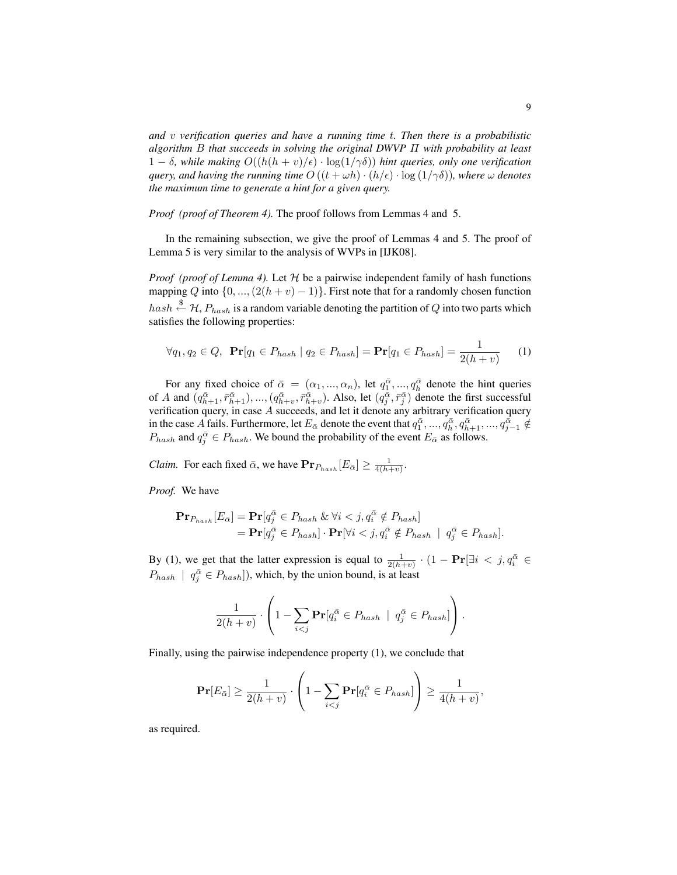*and* v *verification queries and have a running time* t*. Then there is a probabilistic algorithm* B *that succeeds in solving the original DWVP* Π *with probability at least*  $1 - \delta$ , while making  $O((h(h + v)/\epsilon) \cdot \log(1/\gamma\delta))$  *hint queries, only one verification query, and having the running time*  $O((t + \omega h) \cdot (h/\epsilon) \cdot \log(1/\gamma \delta))$ *, where*  $\omega$  *denotes the maximum time to generate a hint for a given query.*

*Proof (proof of Theorem 4).* The proof follows from Lemmas 4 and 5.

In the remaining subsection, we give the proof of Lemmas 4 and 5. The proof of Lemma 5 is very similar to the analysis of WVPs in [IJK08].

*Proof (proof of Lemma 4).* Let  $H$  be a pairwise independent family of hash functions mapping Q into  $\{0, ..., (2(h + v) - 1)\}$ . First note that for a randomly chosen function hash  $\stackrel{\$}{\leftarrow}$  H,  $P_{hash}$  is a random variable denoting the partition of Q into two parts which satisfies the following properties:

$$
\forall q_1, q_2 \in Q, \; \mathbf{Pr}[q_1 \in P_{hash} \mid q_2 \in P_{hash}] = \mathbf{Pr}[q_1 \in P_{hash}] = \frac{1}{2(h+v)} \tag{1}
$$

For any fixed choice of  $\bar{\alpha} = (\alpha_1, ..., \alpha_n)$ , let  $q_1^{\bar{\alpha}}, ..., q_h^{\bar{\alpha}}$  denote the hint queries of A and  $(q_{h+1}^{\bar{\alpha}}, \bar{r}_{h+1}^{\bar{\alpha}}), ..., (q_{h+v}^{\bar{\alpha}}, \bar{r}_{h+v}^{\bar{\alpha}})$ . Also, let  $(q_j^{\bar{\alpha}}, \bar{r}_j^{\bar{\alpha}})$  denote the first successful verification query, in case A succeeds, and let it denote any arbitrary verification query in the case A fails. Furthermore, let  $E_{\bar{\alpha}}$  denote the event that  $q_1^{\bar{\alpha}},...,q_{\bar{n}}^{\bar{\alpha}},q_{\bar{n}+1}^{\bar{\alpha}},...,q_{\bar{j}-1}^{\bar{\alpha}}\notin$  $P_{hash}$  and  $q_j^{\bar{\alpha}} \in P_{hash}$ . We bound the probability of the event  $E_{\bar{\alpha}}$  as follows.

*Claim.* For each fixed  $\bar{\alpha}$ , we have  $\Pr_{P_{hash}}[E_{\bar{\alpha}}] \ge \frac{1}{4(h+v)}$ .

*Proof.* We have

$$
\mathbf{Pr}_{\text{P}_{hash}}[E_{\bar{\alpha}}] = \mathbf{Pr}[q_j^{\bar{\alpha}} \in \text{P}_{hash} \& \forall i < j, q_i^{\bar{\alpha}} \notin \text{P}_{hash}] \\
= \mathbf{Pr}[q_j^{\bar{\alpha}} \in \text{P}_{hash}] \cdot \mathbf{Pr}[\forall i < j, q_i^{\bar{\alpha}} \notin \text{P}_{hash} \mid q_j^{\bar{\alpha}} \in \text{P}_{hash}].
$$

By (1), we get that the latter expression is equal to  $\frac{1}{2(h+v)} \cdot (1 - \Pr[\exists i \le j, q_i^{\bar{\alpha}} \in$  $P_{hash} \mid q_j^{\bar{\alpha}} \in P_{hash}$ , which, by the union bound, is at least

$$
\frac{1}{2(h+v)} \cdot \left(1 - \sum_{i < j} \mathbf{Pr}[q_i^{\bar{\alpha}} \in P_{hash} \mid q_j^{\bar{\alpha}} \in P_{hash}]\right).
$$

Finally, using the pairwise independence property (1), we conclude that

$$
\mathbf{Pr}[E_{\bar{\alpha}}] \ge \frac{1}{2(h+v)} \cdot \left(1 - \sum_{i < j} \mathbf{Pr}[q_i^{\bar{\alpha}} \in P_{hash}]\right) \ge \frac{1}{4(h+v)},
$$

as required.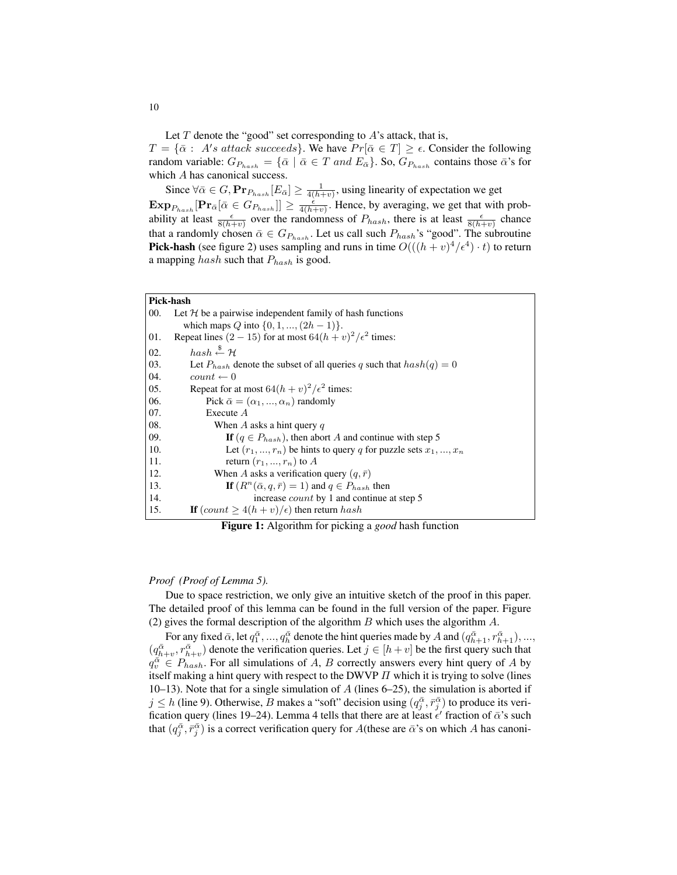Let  $T$  denote the "good" set corresponding to  $A$ 's attack, that is,

 $T = {\bar{\alpha} : A's \text{ attack succeeds}}$ . We have  $Pr[\bar{\alpha} \in T] \geq \epsilon$ . Consider the following random variable:  $G_{P_{hash}} = \{\bar{\alpha} \mid \bar{\alpha} \in T \text{ and } E_{\bar{\alpha}}\}$ . So,  $G_{P_{hash}}$  contains those  $\bar{\alpha}$ 's for which A has canonical success.

Since  $\forall \bar{\alpha} \in G, \mathbf{Pr}_{P_{hash}}[E_{\bar{\alpha}}] \ge \frac{1}{4(h+v)}$ , using linearity of expectation we get  $\text{Exp}_{P_{hash}}[\text{Pr}_{\bar{\alpha}}[\bar{\alpha} \in G_{P_{hash}}]] \geq \frac{\hat{\epsilon}}{4(h+v)}$ . Hence, by averaging, we get that with probability at least  $\frac{\epsilon}{8(h+v)}$  over the randomness of  $P_{hash}$ , there is at least  $\frac{\epsilon}{8(h+v)}$  chance that a randomly chosen  $\bar{\alpha} \in G_{P_{hash}}$ . Let us call such  $P_{hash}$ 's "good". The subroutine **Pick-hash** (see figure 2) uses sampling and runs in time  $O(((h + v)^4/\epsilon^4) \cdot t)$  to return a mapping hash such that  $P_{hash}$  is good.

| <b>Pick-hash</b> |  |
|------------------|--|
|------------------|--|

| т іск-памі |                                                                           |
|------------|---------------------------------------------------------------------------|
| 00.        | Let $H$ be a pairwise independent family of hash functions                |
|            | which maps Q into $\{0, 1, , (2h-1)\}.$                                   |
| 01.        | Repeat lines $(2 - 15)$ for at most $64(h + v)^2/\epsilon^2$ times:       |
| 02.        | $hash \stackrel{\$}{\leftarrow} H$                                        |
| 03.        | Let $P_{hash}$ denote the subset of all queries q such that $hash(q) = 0$ |
| 04.        | $count \leftarrow 0$                                                      |
| 05.        | Repeat for at most $64(h + v)^2/\epsilon^2$ times:                        |
| 06.        | Pick $\bar{\alpha} = (\alpha_1, , \alpha_n)$ randomly                     |
| 07.        | Execute $A$                                                               |
| 08.        | When A asks a hint query q                                                |
| 09.        | If $(q \in P_{hash})$ , then abort A and continue with step 5             |
| 10.        | Let $(r_1, , r_n)$ be hints to query q for puzzle sets $x_1, , x_n$       |
| 11.        | return $(r_1, , r_n)$ to A                                                |
| 12.        | When A asks a verification query $(q, \bar{r})$                           |
| 13.        | If $(R^n(\bar{\alpha}, q, \bar{r}) = 1)$ and $q \in P_{hash}$ then        |
| 14.        | increase <i>count</i> by 1 and continue at step 5                         |
| 15.        | If $\left( count > 4(h+v)/\epsilon \right)$ then return hash              |

Figure 1: Algorithm for picking a *good* hash function

## *Proof (Proof of Lemma 5).*

Due to space restriction, we only give an intuitive sketch of the proof in this paper. The detailed proof of this lemma can be found in the full version of the paper. Figure (2) gives the formal description of the algorithm  $B$  which uses the algorithm  $A$ .

For any fixed  $\bar{\alpha}$ , let  $q_1^{\bar{\alpha}},...,q_{\bar{h}}^{\bar{\alpha}}$  denote the hint queries made by  $A$  and  $(q_{\bar{h}+1}^{\bar{\alpha}},r_{\bar{h}+1}^{\bar{\alpha}}),...,$  $(q_{h+v}^{\bar{\alpha}}, r_{h+v}^{\bar{\alpha}})$  denote the verification queries. Let  $j \in [h+v]$  be the first query such that  $q_{\tilde{v}}^{\bar{\alpha}} \in P_{hash}$ . For all simulations of A, B correctly answers every hint query of A by itself making a hint query with respect to the DWVP  $\Pi$  which it is trying to solve (lines 10–13). Note that for a single simulation of A (lines 6–25), the simulation is aborted if  $j \le h$  (line 9). Otherwise, B makes a "soft" decision using  $(q_j^{\bar{\alpha}}, \bar{r}_j^{\bar{\alpha}})$  to produce its verification query (lines 19–24). Lemma 4 tells that there are at least  $\epsilon'$  fraction of  $\bar{\alpha}$ 's such that  $(q_i^{\bar{\alpha}}, \bar{r}_j^{\bar{\alpha}})$  is a correct verification query for A(these are  $\bar{\alpha}$ 's on which A has canoni-

10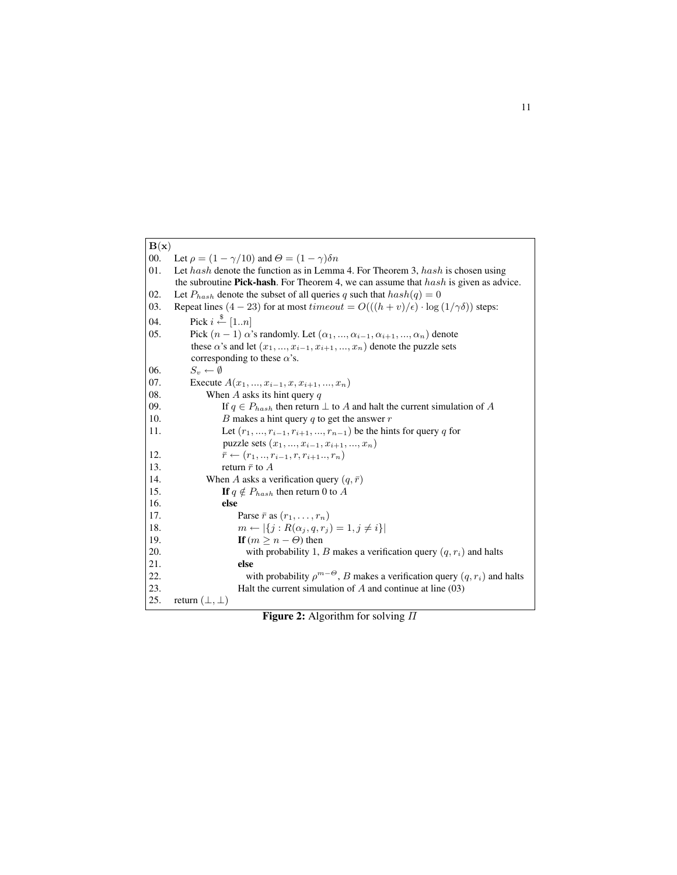$B(x)$ 00. Let  $\rho = (1 - \gamma/10)$  and  $\Theta = (1 - \gamma)\delta n$ 01. Let  $hash$  denote the function as in Lemma 4. For Theorem 3,  $hash$  is chosen using the subroutine Pick-hash. For Theorem 4, we can assume that hash is given as advice. 02. Let  $P_{hash}$  denote the subset of all queries q such that  $hash(q) = 0$ 03. Repeat lines  $(4 - 23)$  for at most timeout =  $O(((h + v)/\epsilon) \cdot \log(1/\gamma \delta))$  steps: 04. Pick  $i \stackrel{\$}{\leftarrow} [1..n]$ 05. Pick  $(n-1)$   $\alpha$ 's randomly. Let  $(\alpha_1, ..., \alpha_{i-1}, \alpha_{i+1}, ..., \alpha_n)$  denote these  $\alpha$ 's and let  $(x_1, ..., x_{i-1}, x_{i+1}, ..., x_n)$  denote the puzzle sets corresponding to these  $\alpha$ 's. 06.  $S_v \leftarrow \emptyset$ 07. Execute  $A(x_1, ..., x_{i-1}, x, x_{i+1}, ..., x_n)$ 08. When  $A$  asks its hint query  $q$ 09. If  $q \in P_{hash}$  then return  $\perp$  to A and halt the current simulation of A 10.  $B$  makes a hint query q to get the answer  $r$ 11. Let  $(r_1, ..., r_{i-1}, r_{i+1}, ..., r_{n-1})$  be the hints for query q for puzzle sets  $(x_1, ..., x_{i-1}, x_{i+1}, ..., x_n)$ 12.  $\bar{r} \leftarrow (r_1, ..., r_{i-1}, r, r_{i+1} ..., r_n)$ 13. return  $\bar{r}$  to A 14. When A asks a verification query  $(q, \bar{r})$ 15. If  $q \notin P_{hash}$  then return 0 to A 16. else 17. Parse  $\bar{r}$  as  $(r_1, \ldots, r_n)$ 18.  $m \leftarrow |\{j : R(\alpha_j, q, r_j) = 1, j \neq i\}|$ 19. If  $(m \ge n - \Theta)$  then 20. with probability 1, B makes a verification query  $(q, r_i)$  and halts 21. else 22. with probability  $\rho^{m-\Theta}$ , B makes a verification query  $(q, r_i)$  and halts 23. Halt the current simulation of  $A$  and continue at line  $(03)$ 25. return  $(\perp, \perp)$ 

Figure 2: Algorithm for solving Π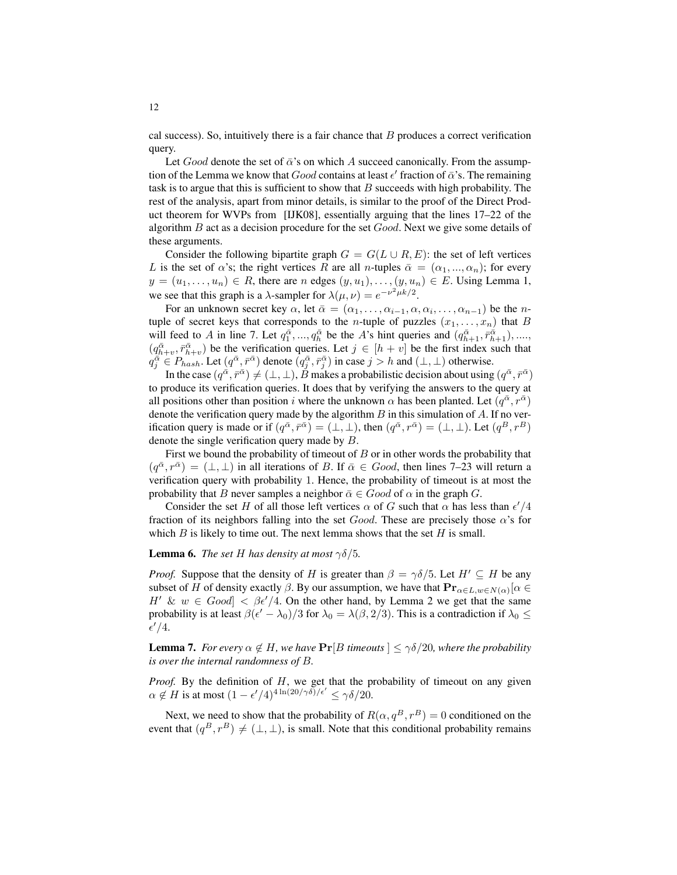cal success). So, intuitively there is a fair chance that  $B$  produces a correct verification query.

Let  $Good$  denote the set of  $\bar{\alpha}$ 's on which A succeed canonically. From the assumption of the Lemma we know that  $Good$  contains at least  $\epsilon'$  fraction of  $\bar{\alpha}$ 's. The remaining task is to argue that this is sufficient to show that  $B$  succeeds with high probability. The rest of the analysis, apart from minor details, is similar to the proof of the Direct Product theorem for WVPs from [IJK08], essentially arguing that the lines 17–22 of the algorithm  $B$  act as a decision procedure for the set  $Good$ . Next we give some details of these arguments.

Consider the following bipartite graph  $G = G(L \cup R, E)$ : the set of left vertices L is the set of  $\alpha$ 's; the right vertices R are all n-tuples  $\bar{\alpha} = (\alpha_1, ..., \alpha_n)$ ; for every  $y = (u_1, \ldots, u_n) \in R$ , there are n edges  $(y, u_1), \ldots, (y, u_n) \in E$ . Using Lemma 1, we see that this graph is a  $\lambda$ -sampler for  $\lambda(\mu, \nu) = e^{-\nu^2 \mu k/2}$ .

For an unknown secret key  $\alpha$ , let  $\bar{\alpha} = (\alpha_1, \ldots, \alpha_{i-1}, \alpha, \alpha_i, \ldots, \alpha_{n-1})$  be the ntuple of secret keys that corresponds to the *n*-tuple of puzzles  $(x_1, \ldots, x_n)$  that B will feed to A in line 7. Let  $q_1^{\bar{\alpha}},...,q_{\bar{h}}^{\bar{\alpha}}$  be the A's hint queries and  $(q_{h+1}^{\bar{\alpha}}, \bar{r}_{h+1}^{\bar{\alpha}}),...,$  $(q_{h+v}^{\bar{\alpha}}, \bar{r}_{h+v}^{\bar{\alpha}})$  be the verification queries. Let  $j \in [h+v]$  be the first index such that  $q_j^{\vec{\alpha}} \in P_{hash}$ . Let  $(q^{\vec{\alpha}}, \vec{r}^{\vec{\alpha}})$  denote  $(q_j^{\vec{\alpha}}, \vec{r}_j^{\vec{\alpha}})$  in case  $j > h$  and  $(\perp, \perp)$  otherwise.

In the case  $(q^{\bar{\alpha}}, \bar{r}^{\bar{\alpha}}) \neq (\bot, \bot)$ ,  $\dot{B}$  makes a probabilistic decision about using  $(q^{\bar{\alpha}}, \bar{r}^{\bar{\alpha}})$ to produce its verification queries. It does that by verifying the answers to the query at all positions other than position i where the unknown  $\alpha$  has been planted. Let  $(q^{\bar{\alpha}}, r^{\bar{\alpha}})$ denote the verification query made by the algorithm  $B$  in this simulation of  $A$ . If no verification query is made or if  $(q^{\bar{\alpha}}, \bar{r}^{\bar{\alpha}}) = (\perp, \perp)$ , then  $(q^{\bar{\alpha}}, r^{\bar{\alpha}}) = (\perp, \perp)$ . Let  $(q^B, r^B)$ denote the single verification query made by B.

First we bound the probability of timeout of  $B$  or in other words the probability that  $(q^{\bar{\alpha}}, r^{\bar{\alpha}}) = (\perp, \perp)$  in all iterations of B. If  $\bar{\alpha} \in Good$ , then lines 7–23 will return a verification query with probability 1. Hence, the probability of timeout is at most the probability that B never samples a neighbor  $\bar{\alpha} \in Good$  of  $\alpha$  in the graph G.

Consider the set H of all those left vertices  $\alpha$  of G such that  $\alpha$  has less than  $\epsilon'/4$ fraction of its neighbors falling into the set  $Good$ . These are precisely those  $\alpha$ 's for which  $B$  is likely to time out. The next lemma shows that the set  $H$  is small.

## **Lemma 6.** *The set H has density at most*  $\gamma \delta/5$ *.*

*Proof.* Suppose that the density of H is greater than  $\beta = \gamma \delta/5$ . Let  $H' \subseteq H$  be any subset of H of density exactly  $\beta$ . By our assumption, we have that  $\Pr_{\alpha \in L, w \in N(\alpha)}[\alpha \in$ H' &  $w \in Good$   $\lt \beta \epsilon'/4$ . On the other hand, by Lemma 2 we get that the same probability is at least  $\beta(\epsilon'-\lambda_0)/3$  for  $\lambda_0=\lambda(\beta, 2/3)$ . This is a contradiction if  $\lambda_0 \leq$  $\epsilon'/4$ .

**Lemma 7.** *For every*  $\alpha \notin H$ *, we have*  $\Pr[B \text{ } \text{timeouts} \mid \leq \gamma \delta/20$ *, where the probability is over the internal randomness of* B*.*

*Proof.* By the definition of  $H$ , we get that the probability of timeout on any given  $\alpha \notin H$  is at most  $(1 - \epsilon'/4)^{4 \ln(20/\gamma \delta)/\epsilon'} \le \gamma \delta/20$ .

Next, we need to show that the probability of  $R(\alpha, q^B, r^B) = 0$  conditioned on the event that  $(q^B, r^B) \neq (\perp, \perp)$ , is small. Note that this conditional probability remains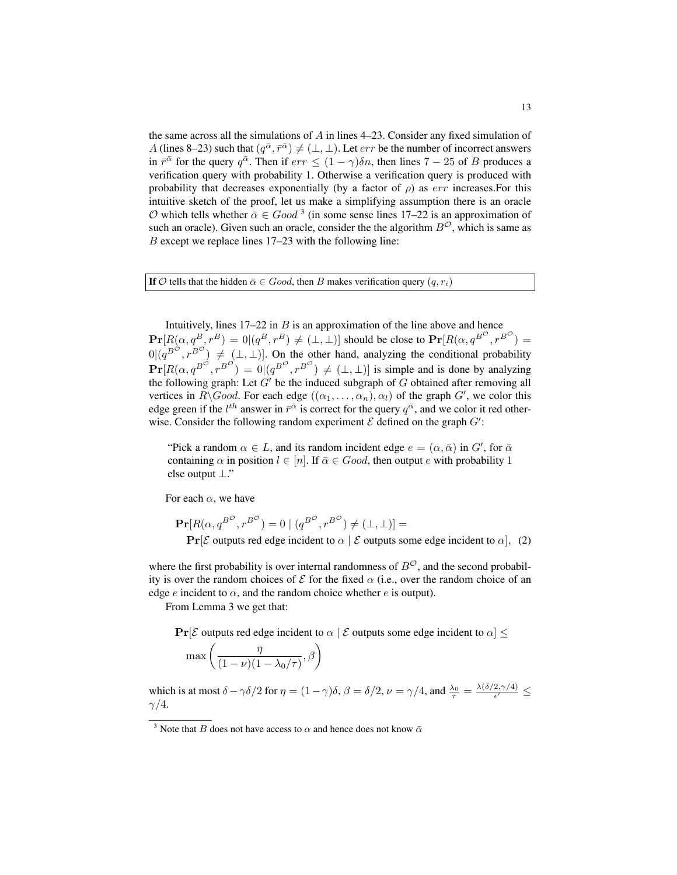the same across all the simulations of  $A$  in lines 4–23. Consider any fixed simulation of A (lines 8–23) such that  $(q^{\bar{\alpha}}, \bar{r}^{\bar{\alpha}}) \neq (\perp, \perp)$ . Let *err* be the number of incorrect answers in  $\bar{r}^{\bar{\alpha}}$  for the query  $q^{\bar{\alpha}}$ . Then if  $err \leq (1 - \gamma)\delta n$ , then lines 7 – 25 of B produces a verification query with probability 1. Otherwise a verification query is produced with probability that decreases exponentially (by a factor of  $\rho$ ) as err increases. For this intuitive sketch of the proof, let us make a simplifying assumption there is an oracle O which tells whether  $\bar{\alpha} \in Good^3$  (in some sense lines 17–22 is an approximation of such an oracle). Given such an oracle, consider the the algorithm  $B^{\mathcal{O}}$ , which is same as B except we replace lines 17–23 with the following line:

If O tells that the hidden  $\bar{\alpha} \in Good$ , then B makes verification query  $(q, r_i)$ 

Intuitively, lines  $17-22$  in B is an approximation of the line above and hence  $\Pr[R(\alpha, q^B, r^B) = 0 | (q^B, r^B) \neq (\perp, \perp)]$  should be close to  $\Pr[R(\alpha, q^{B^{\mathcal{O}}}, r^{B^{\mathcal{O}}}) =$  $0|(q^{B^{\mathcal{O}}},r^{B^{\mathcal{O}}}) \neq (\perp,\perp)|$ . On the other hand, analyzing the conditional probability  $\Pr[R(\alpha, q^{B^{\mathcal{O}}}, r^{B^{\mathcal{O}}})] = 0 | (q^{B^{\mathcal{O}}}, r^{B^{\mathcal{O}}}) \neq (\perp, \perp)]$  is simple and is done by analyzing the following graph: Let  $G'$  be the induced subgraph of  $G$  obtained after removing all vertices in  $R\backslash Good$ . For each edge  $((\alpha_1, \ldots, \alpha_n), \alpha_l)$  of the graph  $G'$ , we color this edge green if the  $l^{th}$  answer in  $\bar{r}^{\bar{\alpha}}$  is correct for the query  $q^{\bar{\alpha}}$ , and we color it red otherwise. Consider the following random experiment  $\mathcal E$  defined on the graph  $G'$ :

"Pick a random  $\alpha \in L$ , and its random incident edge  $e = (\alpha, \bar{\alpha})$  in  $G'$ , for  $\bar{\alpha}$ containing  $\alpha$  in position  $l \in [n]$ . If  $\overline{\alpha} \in Good$ , then output e with probability 1 else output ⊥."

For each  $\alpha$ , we have

 $\mathbf{Pr}[R(\alpha, q^{B^{\mathcal{O}}}, r^{B^{\mathcal{O}}})] = 0 \mid (q^{B^{\mathcal{O}}}, r^{B^{\mathcal{O}}}) \neq (\perp, \perp)] =$  $\Pr[\mathcal{E}]$  outputs red edge incident to  $\alpha \mid \mathcal{E}$  outputs some edge incident to  $\alpha$ , (2)

where the first probability is over internal randomness of  $B^{\mathcal{O}}$ , and the second probability is over the random choices of  $\mathcal E$  for the fixed  $\alpha$  (i.e., over the random choice of an edge  $e$  incident to  $\alpha$ , and the random choice whether  $e$  is output).

From Lemma 3 we get that:

**Pr**[ $\mathcal{E}$  outputs red edge incident to  $\alpha \mid \mathcal{E}$  outputs some edge incident to  $\alpha$ ]  $\leq$ 

$$
\max\left(\frac{\eta}{(1-\nu)(1-\lambda_0/\tau)},\beta\right)
$$

which is at most  $\delta - \gamma \delta/2$  for  $\eta = (1 - \gamma)\delta$ ,  $\beta = \delta/2$ ,  $\nu = \gamma/4$ , and  $\frac{\lambda_0}{\tau} = \frac{\lambda(\delta/2, \gamma/4)}{\epsilon'}$  $\frac{2, \gamma/4)}{\epsilon'} \leq$  $\gamma/4$ .

<sup>&</sup>lt;sup>3</sup> Note that B does not have access to  $\alpha$  and hence does not know  $\bar{\alpha}$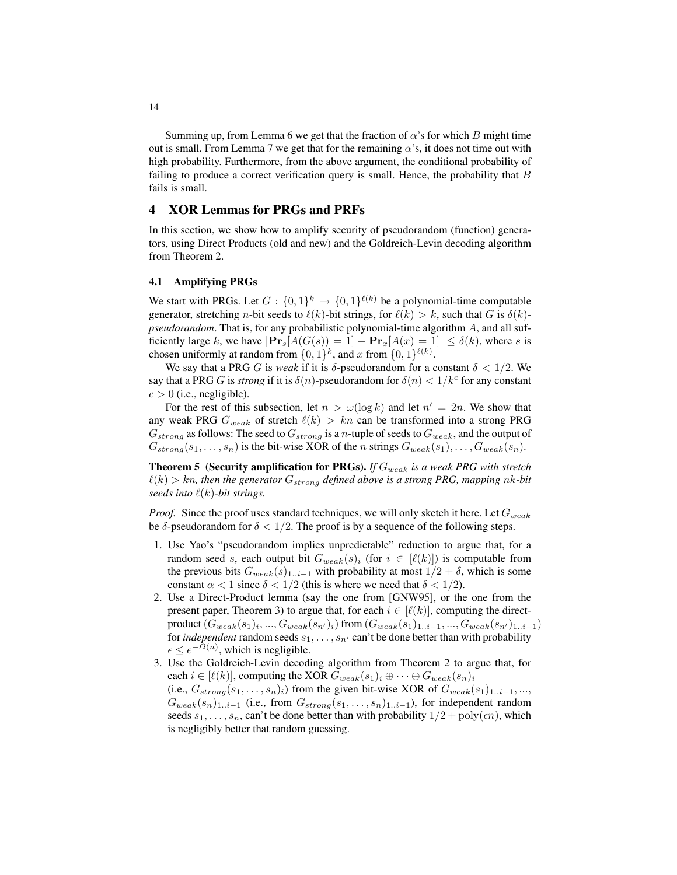Summing up, from Lemma 6 we get that the fraction of  $\alpha$ 's for which B might time out is small. From Lemma 7 we get that for the remaining  $\alpha$ 's, it does not time out with high probability. Furthermore, from the above argument, the conditional probability of failing to produce a correct verification query is small. Hence, the probability that  $B$ fails is small.

# 4 XOR Lemmas for PRGs and PRFs

In this section, we show how to amplify security of pseudorandom (function) generators, using Direct Products (old and new) and the Goldreich-Levin decoding algorithm from Theorem 2.

#### 4.1 Amplifying PRGs

We start with PRGs. Let  $G: \{0,1\}^k \to \{0,1\}^{\ell(k)}$  be a polynomial-time computable generator, stretching *n*-bit seeds to  $\ell(k)$ -bit strings, for  $\ell(k) > k$ , such that G is  $\delta(k)$ *pseudorandom*. That is, for any probabilistic polynomial-time algorithm A, and all sufficiently large k, we have  $|\mathbf{Pr}_s[A(G(s))] = 1] - \mathbf{Pr}_x[A(x) = 1]| \leq \delta(k)$ , where s is chosen uniformly at random from  $\{0,1\}^k$ , and x from  $\{0,1\}^{\ell(k)}$ .

We say that a PRG G is *weak* if it is  $\delta$ -pseudorandom for a constant  $\delta < 1/2$ . We say that a PRG G is *strong* if it is  $\delta(n)$ -pseudorandom for  $\delta(n) < 1/k^c$  for any constant  $c > 0$  (i.e., negligible).

For the rest of this subsection, let  $n > \omega(\log k)$  and let  $n' = 2n$ . We show that any weak PRG  $G_{weak}$  of stretch  $\ell(k) > kn$  can be transformed into a strong PRG  $G_{strong}$  as follows: The seed to  $G_{strong}$  is a *n*-tuple of seeds to  $G_{weak}$ , and the output of  $G_{strong}(s_1, \ldots, s_n)$  is the bit-wise XOR of the n strings  $G_{weak}(s_1), \ldots, G_{weak}(s_n)$ .

**Theorem 5 (Security amplification for PRGs).** *If*  $G_{weak}$  *is a weak PRG with stretch*  $\ell(k) > kn$ , then the generator  $G_{strong}$  defined above is a strong PRG, mapping nk-bit *seeds into*  $\ell(k)$ *-bit strings.* 

*Proof.* Since the proof uses standard techniques, we will only sketch it here. Let  $G_{weak}$ be  $\delta$ -pseudorandom for  $\delta < 1/2$ . The proof is by a sequence of the following steps.

- 1. Use Yao's "pseudorandom implies unpredictable" reduction to argue that, for a random seed s, each output bit  $G_{weak}(s)$  (for  $i \in [\ell(k)]$ ) is computable from the previous bits  $G_{weak}(s)_{1..i-1}$  with probability at most  $1/2 + \delta$ , which is some constant  $\alpha < 1$  since  $\delta < 1/2$  (this is where we need that  $\delta < 1/2$ ).
- 2. Use a Direct-Product lemma (say the one from [GNW95], or the one from the present paper, Theorem 3) to argue that, for each  $i \in [\ell(k)]$ , computing the directproduct  $(G_{weak}(s_1)_i,...,G_{weak}(s_{n'})_i)$  from  $(G_{weak}(s_1)_{1..i-1},...,G_{weak}(s_{n'})_{1..i-1})$ for *independent* random seeds  $s_1, \ldots, s_n$  can't be done better than with probability  $\epsilon \leq e^{-\Omega(n)}$ , which is negligible.
- 3. Use the Goldreich-Levin decoding algorithm from Theorem 2 to argue that, for each  $i \in [\ell(k)]$ , computing the XOR  $G_{weak}(s_1)_i \oplus \cdots \oplus G_{weak}(s_n)_i$ (i.e.,  $G_{strong}(s_1, \ldots, s_n)_i$ ) from the given bit-wise XOR of  $G_{weak}(s_1)_{1..i-1}, \ldots$ ,  $G_{weak}(s_n)_{1..i-1}$  (i.e., from  $G_{strong}(s_1,...,s_n)_{1..i-1}$ ), for independent random seeds  $s_1, \ldots, s_n$ , can't be done better than with probability  $1/2 + \text{poly}(\epsilon n)$ , which is negligibly better that random guessing.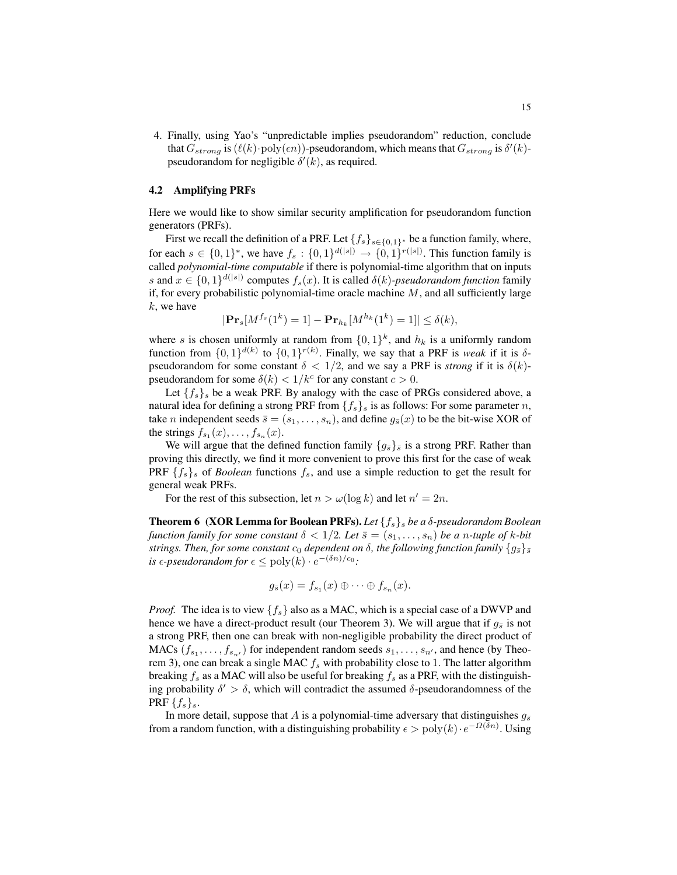4. Finally, using Yao's "unpredictable implies pseudorandom" reduction, conclude that  $G_{strong}$  is  $(\ell(k) \cdot \text{poly}(\epsilon n))$ -pseudorandom, which means that  $G_{strong}$  is  $\delta'(k)$ pseudorandom for negligible  $\delta'(k)$ , as required.

### 4.2 Amplifying PRFs

Here we would like to show similar security amplification for pseudorandom function generators (PRFs).

First we recall the definition of a PRF. Let  $\{f_s\}_{s\in\{0,1\}^*}$  be a function family, where, for each  $s \in \{0,1\}^*$ , we have  $f_s: \{0,1\}^{d(|s|)} \rightarrow \{0,1\}^{r(|s|)}$ . This function family is called *polynomial-time computable* if there is polynomial-time algorithm that on inputs s and  $x \in \{0,1\}^{d(|s|)}$  computes  $f_s(x)$ . It is called  $\delta(k)$ -pseudorandom function family if, for every probabilistic polynomial-time oracle machine  $M$ , and all sufficiently large  $k$ , we have

$$
|\mathbf{Pr}_{s}[M^{f_s}(1^k) = 1] - \mathbf{Pr}_{h_k}[M^{h_k}(1^k) = 1]| \leq \delta(k),
$$

where s is chosen uniformly at random from  $\{0,1\}^k$ , and  $h_k$  is a uniformly random function from  $\{0,1\}^{d(k)}$  to  $\{0,1\}^{r(k)}$ . Finally, we say that a PRF is *weak* if it is  $\delta$ pseudorandom for some constant  $\delta < 1/2$ , and we say a PRF is *strong* if it is  $\delta(k)$ pseudorandom for some  $\delta(k) < 1/k^c$  for any constant  $c > 0$ .

Let  ${f_s}_s$  be a weak PRF. By analogy with the case of PRGs considered above, a natural idea for defining a strong PRF from  $\{f_s\}_s$  is as follows: For some parameter n, take *n* independent seeds  $\bar{s} = (s_1, \ldots, s_n)$ , and define  $g_{\bar{s}}(x)$  to be the bit-wise XOR of the strings  $f_{s_1}(x), \ldots, f_{s_n}(x)$ .

We will argue that the defined function family  $\{g_{\bar{s}}\}_{\bar{s}}$  is a strong PRF. Rather than proving this directly, we find it more convenient to prove this first for the case of weak PRF  $\{f_s\}$  of *Boolean* functions  $f_s$ , and use a simple reduction to get the result for general weak PRFs.

For the rest of this subsection, let  $n > \omega(\log k)$  and let  $n' = 2n$ .

**Theorem 6 (XOR Lemma for Boolean PRFs).** Let  $\{f_s\}$  be a  $\delta$ -pseudorandom Boolean *function family for some constant*  $\delta < 1/2$ *. Let*  $\bar{s} = (s_1, \ldots, s_n)$  *be a n-tuple of k-bit strings. Then, for some constant*  $c_0$  *dependent on*  $\delta$ *, the following function family*  $\{q_{\bar{s}}\}_{\bar{s}}$ *is*  $\epsilon$ -pseudorandom for  $\epsilon \le \text{poly}(k) \cdot e^{-(\delta n)/c_0}$ :

$$
g_{\bar{s}}(x) = f_{s_1}(x) \oplus \cdots \oplus f_{s_n}(x).
$$

*Proof.* The idea is to view  $\{f_s\}$  also as a MAC, which is a special case of a DWVP and hence we have a direct-product result (our Theorem 3). We will argue that if  $g_{\overline{s}}$  is not a strong PRF, then one can break with non-negligible probability the direct product of MACs  $(f_{s_1},..., f_{s_{n'}})$  for independent random seeds  $s_1,..., s_{n'}$ , and hence (by Theorem 3), one can break a single MAC  $f_s$  with probability close to 1. The latter algorithm breaking  $f_s$  as a MAC will also be useful for breaking  $f_s$  as a PRF, with the distinguishing probability  $\delta' > \delta$ , which will contradict the assumed  $\delta$ -pseudorandomness of the PRF  ${f_s}_s$ .

In more detail, suppose that A is a polynomial-time adversary that distinguishes  $g_{\bar{s}}$ from a random function, with a distinguishing probability  $\epsilon > \text{poly}(k) \cdot e^{-\Omega(\delta n)}$ . Using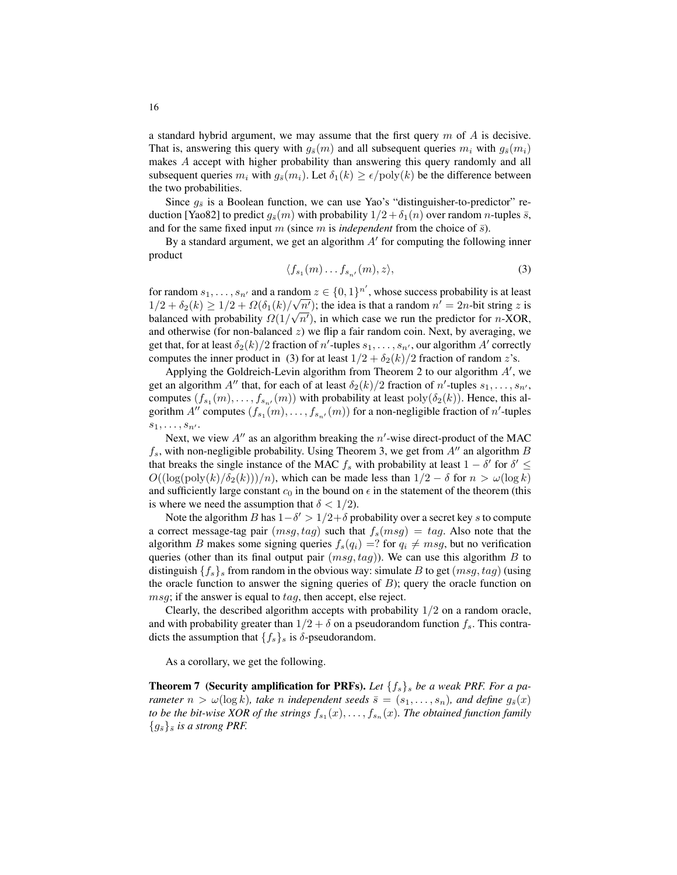a standard hybrid argument, we may assume that the first query  $m$  of  $A$  is decisive. That is, answering this query with  $g_{\bar{s}}(m)$  and all subsequent queries  $m_i$  with  $g_{\bar{s}}(m_i)$ makes A accept with higher probability than answering this query randomly and all subsequent queries  $m_i$  with  $g_{\bar{s}}(m_i)$ . Let  $\delta_1(k) \geq \epsilon/\text{poly}(k)$  be the difference between the two probabilities.

Since  $g_{\overline{s}}$  is a Boolean function, we can use Yao's "distinguisher-to-predictor" reduction [Yao82] to predict  $q_{\bar{s}}(m)$  with probability  $1/2 + \delta_1(n)$  over random *n*-tuples  $\bar{s}$ , and for the same fixed input m (since m is *independent* from the choice of  $\bar{s}$ ).

By a standard argument, we get an algorithm  $A'$  for computing the following inner product

$$
\langle f_{s_1}(m)\dots f_{s_{n'}}(m),z\rangle,
$$
 (3)

for random  $s_1, \ldots, s_{n'}$  and a random  $z \in \{0,1\}^{n'}$ , whose success probability is at least  $1/2 + \delta_2(k) \ge 1/2 + \Omega(\delta_1(k)/\sqrt{n'})$ ; the idea is that a random  $n' = 2n$ -bit string z is balanced with probability  $\Omega(1/\sqrt{n'})$ , in which case we run the predictor for *n*-XOR, and otherwise (for non-balanced  $z$ ) we flip a fair random coin. Next, by averaging, we get that, for at least  $\delta_2(k)/2$  fraction of  $n'$ -tuples  $s_1, \ldots, s_{n'}$ , our algorithm  $A'$  correctly computes the inner product in (3) for at least  $1/2 + \delta_2(k)/2$  fraction of random z's.

Applying the Goldreich-Levin algorithm from Theorem 2 to our algorithm  $A'$ , we get an algorithm  $A''$  that, for each of at least  $\delta_2(k)/2$  fraction of n'-tuples  $s_1, \ldots, s_n$ ', computes  $(f_{s_1}(m),..., f_{s_{n'}}(m))$  with probability at least  $\text{poly}(\delta_2(k))$ . Hence, this algorithm  $A''$  computes  $(f_{s_1}(m), \ldots, f_{s_{n'}}(m))$  for a non-negligible fraction of n'-tuples  $s_1, \ldots, s_{n'}$ .

Next, we view  $A''$  as an algorithm breaking the  $n'$ -wise direct-product of the MAC  $f_s$ , with non-negligible probability. Using Theorem 3, we get from  $A''$  an algorithm B that breaks the single instance of the MAC  $f_s$  with probability at least  $1 - \delta'$  for  $\delta' \leq$  $O((\log(\text{poly}(k)/\delta_2(k)))/n)$ , which can be made less than  $1/2 - \delta$  for  $n > \omega(\log k)$ and sufficiently large constant  $c_0$  in the bound on  $\epsilon$  in the statement of the theorem (this is where we need the assumption that  $\delta < 1/2$ .

Note the algorithm B has  $1-\delta' > 1/2+\delta$  probability over a secret key s to compute a correct message-tag pair  $(msg, tag)$  such that  $f_s(msg) = tag$ . Also note that the algorithm B makes some signing queries  $f_s(q_i) = ?$  for  $q_i \neq msg$ , but no verification queries (other than its final output pair  $(msg, tag)$ ). We can use this algorithm B to distinguish  $\{f_s\}_s$  from random in the obvious way: simulate B to get  $(msg, tag)$  (using the oracle function to answer the signing queries of  $B$ ); query the oracle function on  $msg$ ; if the answer is equal to  $taq$ , then accept, else reject.

Clearly, the described algorithm accepts with probability  $1/2$  on a random oracle, and with probability greater than  $1/2 + \delta$  on a pseudorandom function  $f_s$ . This contradicts the assumption that  $\{f_s\}_s$  is  $\delta$ -pseudorandom.

As a corollary, we get the following.

**Theorem 7** (Security amplification for PRFs). Let  $\{f_s\}$  be a weak PRF. For a pa*rameter*  $n > \omega(\log k)$ *, take n independent seeds*  $\bar{s} = (s_1, \ldots, s_n)$ *, and define*  $g_{\bar{s}}(x)$ to be the bit-wise XOR of the strings  $f_{s_1}(x), \ldots, f_{s_n}(x)$ . The obtained function family  ${g_{\bar{s}}}_{\bar{s}}$  *is a strong PRF.*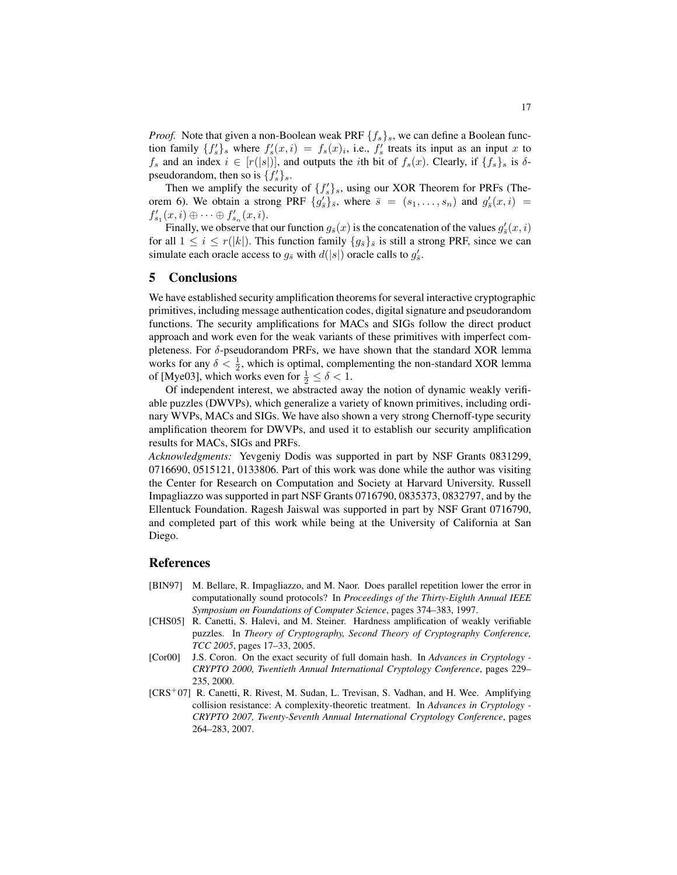*Proof.* Note that given a non-Boolean weak PRF  $\{f_s\}_s$ , we can define a Boolean function family  $\{f'_s\}_s$  where  $f'_s(x,i) = f_s(x)_i$ , i.e.,  $f'_s$  treats its input as an input x to  $f_s$  and an index  $i \in [r(|s|)]$ , and outputs the *i*th bit of  $f_s(x)$ . Clearly, if  $\{f_s\}_s$  is  $\delta$ pseudorandom, then so is  $\{f'_s\}_s$ .

Then we amplify the security of  $\{f'_s\}_s$ , using our XOR Theorem for PRFs (Theorem 6). We obtain a strong PRF  $\{g_{\overline{s}}\}_{\overline{s}}$ , where  $\overline{s} = (s_1, \ldots, s_n)$  and  $g'_{\overline{s}}(x, i) =$  $f'_{s_1}(x,i) \oplus \cdots \oplus f'_{s_n}(x,i).$ 

Finally, we observe that our function  $g_{\bar{s}}(x)$  is the concatenation of the values  $g'_{\bar{s}}(x, i)$ for all  $1 \leq i \leq r(|k|)$ . This function family  $\{g_{\bar{s}}\}_{\bar{s}}$  is still a strong PRF, since we can simulate each oracle access to  $g_{\bar{s}}$  with  $d(|s|)$  oracle calls to  $g'_{\bar{s}}$ .

# 5 Conclusions

We have established security amplification theorems for several interactive cryptographic primitives, including message authentication codes, digital signature and pseudorandom functions. The security amplifications for MACs and SIGs follow the direct product approach and work even for the weak variants of these primitives with imperfect completeness. For  $\delta$ -pseudorandom PRFs, we have shown that the standard XOR lemma works for any  $\delta < \frac{1}{2}$ , which is optimal, complementing the non-standard XOR lemma of [Mye03], which works even for  $\frac{1}{2} \le \delta < 1$ .

Of independent interest, we abstracted away the notion of dynamic weakly verifiable puzzles (DWVPs), which generalize a variety of known primitives, including ordinary WVPs, MACs and SIGs. We have also shown a very strong Chernoff-type security amplification theorem for DWVPs, and used it to establish our security amplification results for MACs, SIGs and PRFs.

*Acknowledgments:* Yevgeniy Dodis was supported in part by NSF Grants 0831299, 0716690, 0515121, 0133806. Part of this work was done while the author was visiting the Center for Research on Computation and Society at Harvard University. Russell Impagliazzo was supported in part NSF Grants 0716790, 0835373, 0832797, and by the Ellentuck Foundation. Ragesh Jaiswal was supported in part by NSF Grant 0716790, and completed part of this work while being at the University of California at San Diego.

## References

- [BIN97] M. Bellare, R. Impagliazzo, and M. Naor. Does parallel repetition lower the error in computationally sound protocols? In *Proceedings of the Thirty-Eighth Annual IEEE Symposium on Foundations of Computer Science*, pages 374–383, 1997.
- [CHS05] R. Canetti, S. Halevi, and M. Steiner. Hardness amplification of weakly verifiable puzzles. In *Theory of Cryptography, Second Theory of Cryptography Conference, TCC 2005*, pages 17–33, 2005.
- [Cor00] J.S. Coron. On the exact security of full domain hash. In *Advances in Cryptology - CRYPTO 2000, Twentieth Annual International Cryptology Conference*, pages 229– 235, 2000.
- [CRS<sup>+</sup>07] R. Canetti, R. Rivest, M. Sudan, L. Trevisan, S. Vadhan, and H. Wee. Amplifying collision resistance: A complexity-theoretic treatment. In *Advances in Cryptology - CRYPTO 2007, Twenty-Seventh Annual International Cryptology Conference*, pages 264–283, 2007.